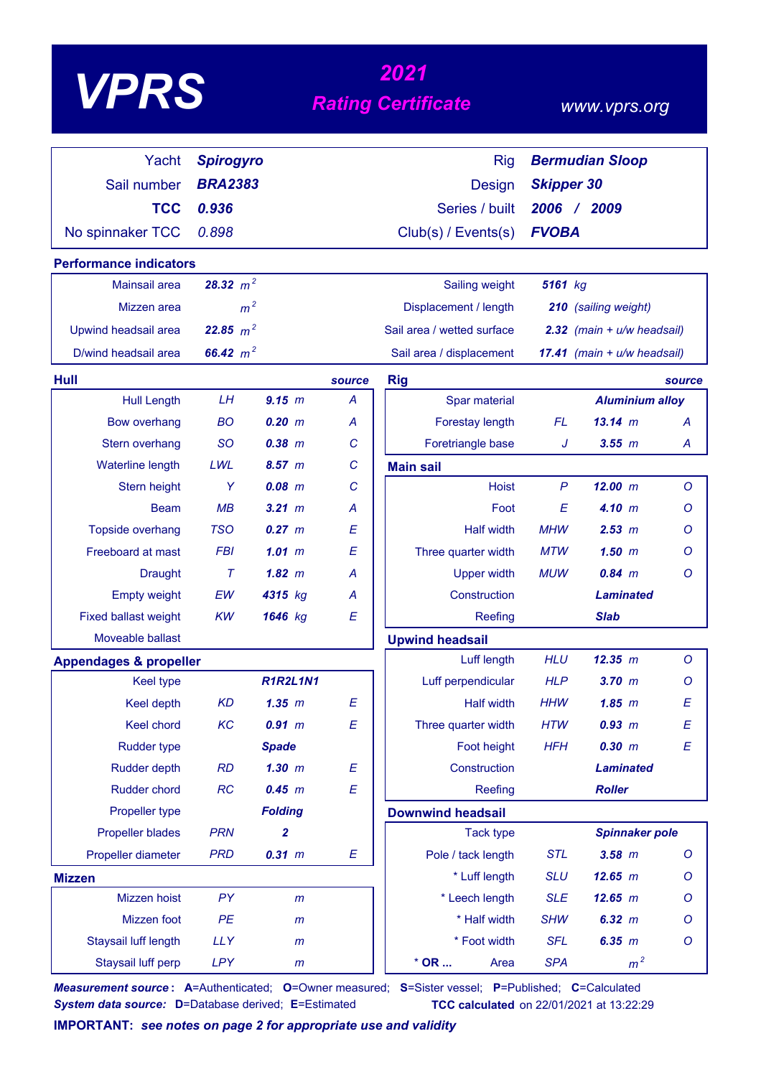# *<sup>2021</sup> VPRS Rating Certificate*

### *www.vprs.org*

| Yacht                                     | <b>Spirogyro</b>           |                  |                  | <b>Rig</b>                       | <b>Bermudian Sloop</b>         |                                        |                  |
|-------------------------------------------|----------------------------|------------------|------------------|----------------------------------|--------------------------------|----------------------------------------|------------------|
| Sail number                               | <b>BRA2383</b>             |                  |                  | <b>Design</b>                    | <b>Skipper 30</b>              |                                        |                  |
| <b>TCC</b>                                | 0.936                      |                  |                  | Series / built                   | 2006 / 2009                    |                                        |                  |
| No spinnaker TCC                          | 0.898                      |                  |                  | Club(s) / Events(s)              | <b>FVOBA</b>                   |                                        |                  |
| <b>Performance indicators</b>             |                            |                  |                  |                                  |                                |                                        |                  |
| Mainsail area                             | 28.32 $m^2$                |                  |                  | Sailing weight                   | 5161 kg                        |                                        |                  |
| Mizzen area                               | m <sup>2</sup>             |                  |                  | Displacement / length            | 210 (sailing weight)           |                                        |                  |
| Upwind headsail area                      | 22.85 $m^2$                |                  |                  | Sail area / wetted surface       | $2.32$ (main + $u/w$ headsail) |                                        |                  |
| D/wind headsail area                      | 66.42 $m^2$                |                  |                  | Sail area / displacement         | 17.41 (main + u/w headsail)    |                                        |                  |
|                                           |                            |                  |                  |                                  |                                |                                        |                  |
| <b>Hull</b>                               |                            |                  | source           | <b>Rig</b>                       |                                |                                        | source           |
| <b>Hull Length</b><br><b>Bow overhang</b> | LH<br><b>BO</b>            | 9.15 m<br>0.20 m | A<br>A           | Spar material<br>Forestay length | FL.                            | <b>Aluminium alloy</b><br>$13.14 \; m$ | A                |
| Stern overhang                            | <b>SO</b>                  | $0.38$ $m$       | C                | Foretriangle base                | J                              | $3.55$ $m$                             | A                |
| Waterline length                          | LWL                        | 8.57 m           | $\mathcal{C}$    |                                  |                                |                                        |                  |
| Stern height                              | Y                          | $0.08$ $m$       | C                | <b>Main sail</b><br><b>Hoist</b> | $\mathsf{P}$                   | 12.00 m                                | $\circ$          |
| <b>Beam</b>                               | MB                         | $3.21 \; m$      | A                | Foot                             | E                              | 4.10 m                                 | Ο                |
| Topside overhang                          | <b>TSO</b>                 | $0.27$ $m$       | E                | <b>Half width</b>                | <b>MHW</b>                     | 2.53 m                                 | Ο                |
| Freeboard at mast                         | <b>FBI</b>                 | 1.01~m           | E                | Three quarter width              | <b>MTW</b>                     | $1.50$ m                               | Ο                |
| <b>Draught</b>                            | $\tau$                     | $1.82 \; m$      | A                | <b>Upper width</b>               | <b>MUW</b>                     | $0.84$ m                               | O                |
| <b>Empty weight</b>                       | EW                         | 4315 kg          | A                | Construction                     | <b>Laminated</b>               |                                        |                  |
| <b>Fixed ballast weight</b>               | <b>KW</b>                  | 1646 kg          | E                | Reefing                          |                                | <b>Slab</b>                            |                  |
| Moveable ballast                          |                            |                  |                  | <b>Upwind headsail</b>           |                                |                                        |                  |
| <b>Appendages &amp; propeller</b>         |                            |                  |                  | Luff length                      | <b>HLU</b>                     | 12.35 m                                | $\circ$          |
| <b>Keel type</b>                          |                            | <b>R1R2L1N1</b>  |                  | Luff perpendicular               | <b>HLP</b>                     | $3.70$ $m$                             | Ο                |
| Keel depth                                | <b>KD</b>                  | $1.35$ $m$       | E                | <b>Half width</b>                | <b>HHW</b>                     | 1.85~m                                 | E                |
| Keel chord                                | KC                         | 0.91 m           | E                | Three quarter width              | <b>HTW</b>                     | 0.93 m                                 | E                |
| Rudder type                               |                            | <b>Spade</b>     |                  | Foot height                      | <b>HFH</b>                     | 0.30 m                                 | $\boldsymbol{E}$ |
| Rudder depth                              | <b>RD</b>                  | $1.30$ m         | E                | Construction                     |                                | <b>Laminated</b>                       |                  |
| Rudder chord                              | <b>RC</b>                  | 0.45 m           | E                | Reefing                          |                                | <b>Roller</b>                          |                  |
| Propeller type                            |                            | <b>Folding</b>   |                  | <b>Downwind headsail</b>         |                                |                                        |                  |
| <b>Propeller blades</b>                   | <b>PRN</b><br>$\mathbf{2}$ |                  | <b>Tack type</b> | <b>Spinnaker pole</b>            |                                |                                        |                  |
| Propeller diameter                        | <b>PRD</b>                 | 0.31 m           | E                | Pole / tack length               | <b>STL</b>                     | $3.58$ $m$                             | O                |
| <b>Mizzen</b>                             |                            |                  |                  | * Luff length                    | <b>SLU</b>                     | 12.65 m                                | O                |
| Mizzen hoist                              | PY                         | $\mathsf{m}$     |                  | * Leech length                   | <b>SLE</b>                     | 12.65 m                                | O                |
| Mizzen foot                               | PE                         | m                |                  | * Half width                     | <b>SHW</b>                     | 6.32 m                                 | O                |
| Staysail luff length                      | <b>LLY</b>                 | m                |                  | * Foot width                     | <b>SFL</b>                     | 6.35 m                                 | $\circ$          |
| Staysail luff perp                        | <b>LPY</b>                 | m                |                  | $*$ OR<br>Area                   | <b>SPA</b>                     | m <sup>2</sup>                         |                  |

*Measurement source* **: A**=Authenticated; **O**=Owner measured; **S**=Sister vessel; **P**=Published; **C**=Calculated *System data source:* **D**=Database derived; **E**=Estimated **TCC calculated** on 22/01/2021 at 13:22:29

**IMPORTANT:** *see notes on page 2 for appropriate use and validity*